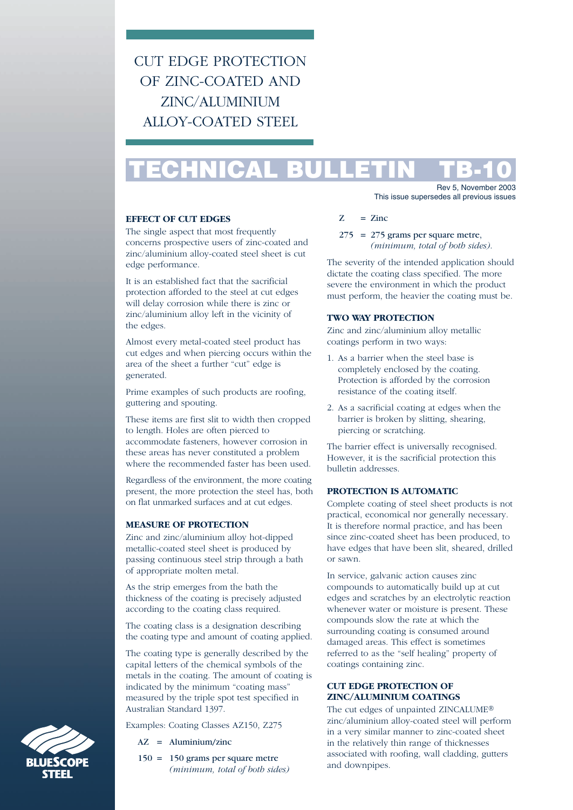# CUT EDGE PROTECTION OF ZINC-COATED AND ZINC/ALUMINIUM ALLOY-COATED STEEL

# **TECHNICAL BULLETIN TB-10**

### **EFFECT OF CUT EDGES**

The single aspect that most frequently concerns prospective users of zinc-coated and zinc/aluminium alloy-coated steel sheet is cut edge performance.

It is an established fact that the sacrificial protection afforded to the steel at cut edges will delay corrosion while there is zinc or zinc/aluminium alloy left in the vicinity of the edges.

Almost every metal-coated steel product has cut edges and when piercing occurs within the area of the sheet a further "cut" edge is generated.

Prime examples of such products are roofing, guttering and spouting.

These items are first slit to width then cropped to length. Holes are often pierced to accommodate fasteners, however corrosion in these areas has never constituted a problem where the recommended faster has been used.

Regardless of the environment, the more coating present, the more protection the steel has, both on flat unmarked surfaces and at cut edges.

#### **MEASURE OF PROTECTION**

Zinc and zinc/aluminium alloy hot-dipped metallic-coated steel sheet is produced by passing continuous steel strip through a bath of appropriate molten metal.

As the strip emerges from the bath the thickness of the coating is precisely adjusted according to the coating class required.

The coating class is a designation describing the coating type and amount of coating applied.

The coating type is generally described by the capital letters of the chemical symbols of the metals in the coating. The amount of coating is indicated by the minimum "coating mass" measured by the triple spot test specified in Australian Standard 1397.

Examples: Coating Classes AZ150, Z275

- AZ = Aluminium/zinc
- 
- 150 = 150 grams per square metre *(minimum, total of both sides)*
- Rev 5, November 2003 This issue supersedes all previous issues
- $Z = Zinc$
- $275 = 275$  grams per square metre. *(minimum, total of both sides)*.

The severity of the intended application should dictate the coating class specified. The more severe the environment in which the product must perform, the heavier the coating must be.

## **TWO WAY PROTECTION**

Zinc and zinc/aluminium alloy metallic coatings perform in two ways:

- 1. As a barrier when the steel base is completely enclosed by the coating. Protection is afforded by the corrosion resistance of the coating itself.
- 2. As a sacrificial coating at edges when the barrier is broken by slitting, shearing, piercing or scratching.

The barrier effect is universally recognised. However, it is the sacrificial protection this bulletin addresses.

#### **PROTECTION IS AUTOMATIC**

Complete coating of steel sheet products is not practical, economical nor generally necessary. It is therefore normal practice, and has been since zinc-coated sheet has been produced, to have edges that have been slit, sheared, drilled or sawn.

In service, galvanic action causes zinc compounds to automatically build up at cut edges and scratches by an electrolytic reaction whenever water or moisture is present. These compounds slow the rate at which the surrounding coating is consumed around damaged areas. This effect is sometimes referred to as the "self healing" property of coatings containing zinc.

# **CUT EDGE PROTECTION OF ZINC/ALUMINIUM COATINGS**

The cut edges of unpainted ZINCALUME® zinc/aluminium alloy-coated steel will perform in a very similar manner to zinc-coated sheet in the relatively thin range of thicknesses associated with roofing, wall cladding, gutters and downpipes.